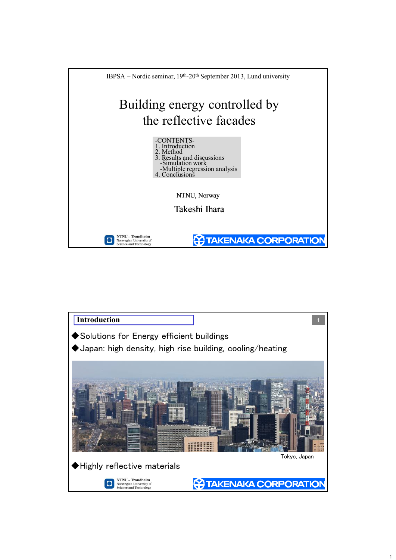



 $\mathbf{1}$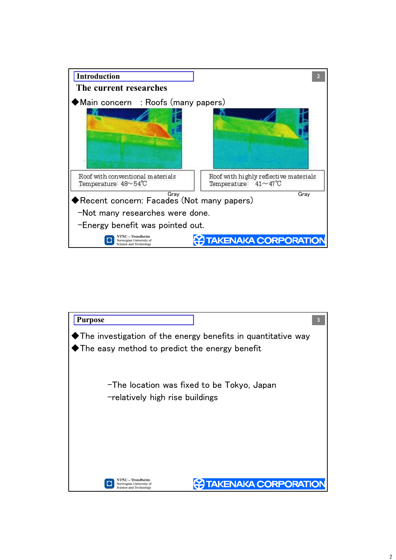

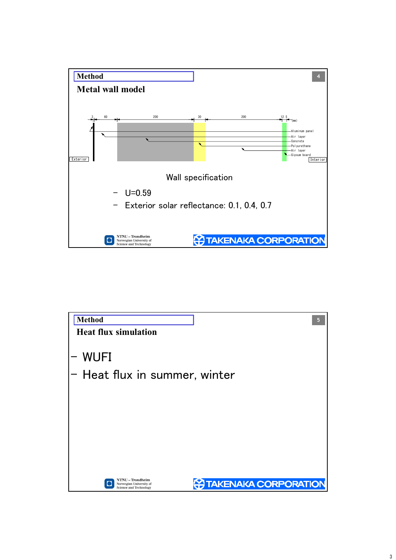

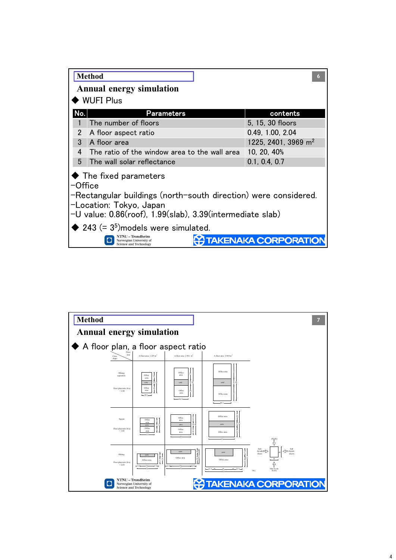|                                                                                                                                                                                                                  | <b>Method</b><br><b>Annual energy simulation</b>                             | 6                               |  |  |  |  |  |  |
|------------------------------------------------------------------------------------------------------------------------------------------------------------------------------------------------------------------|------------------------------------------------------------------------------|---------------------------------|--|--|--|--|--|--|
|                                                                                                                                                                                                                  | <b>WUFI Plus</b>                                                             |                                 |  |  |  |  |  |  |
| No.                                                                                                                                                                                                              | <b>Parameters</b>                                                            | contents                        |  |  |  |  |  |  |
|                                                                                                                                                                                                                  | The number of floors                                                         | 5, 15, 30 floors                |  |  |  |  |  |  |
| 2                                                                                                                                                                                                                | A floor aspect ratio                                                         | 0.49, 1.00, 2.04                |  |  |  |  |  |  |
| 3                                                                                                                                                                                                                | A floor area                                                                 | 1225, 2401, 3969 m <sup>2</sup> |  |  |  |  |  |  |
| 4                                                                                                                                                                                                                | The ratio of the window area to the wall area                                | 10, 20, 40%                     |  |  |  |  |  |  |
| 5                                                                                                                                                                                                                | The wall solar reflectance                                                   | 0.1, 0.4, 0.7                   |  |  |  |  |  |  |
| $\blacklozenge$ The fixed parameters<br>$\neg$ Office<br>-Rectangular buildings (north-south direction) were considered.<br>-Location: Tokyo, Japan<br>-U value: 0.86(roof), 1.99(slab), 3.39(intermediate slab) |                                                                              |                                 |  |  |  |  |  |  |
|                                                                                                                                                                                                                  | $\blacklozenge$ 243 (= 3 <sup>5</sup> )models were simulated.                |                                 |  |  |  |  |  |  |
|                                                                                                                                                                                                                  | NTNU – Trondheim<br>Norwegian University of<br><b>Science and Technology</b> | <b>ENAKA CORPORATION</b>        |  |  |  |  |  |  |

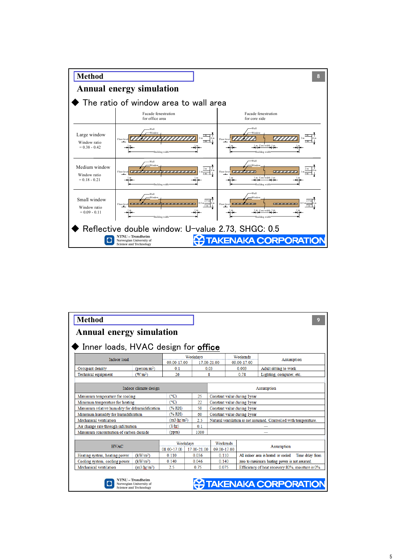

| <b>Method</b>                                              |                                                                                     |                         |                                   |  |                             |  |                                               |                                                                  | 9 |  |
|------------------------------------------------------------|-------------------------------------------------------------------------------------|-------------------------|-----------------------------------|--|-----------------------------|--|-----------------------------------------------|------------------------------------------------------------------|---|--|
| <b>Annual energy simulation</b>                            |                                                                                     |                         |                                   |  |                             |  |                                               |                                                                  |   |  |
| $\blacklozenge$ Inner loads, HVAC design for <b>office</b> |                                                                                     |                         |                                   |  |                             |  |                                               |                                                                  |   |  |
| Indoor load                                                |                                                                                     |                         | Weekdavs                          |  |                             |  | Weekends                                      |                                                                  |   |  |
|                                                            |                                                                                     | 09.00-17.00             |                                   |  | 17.00-21.00                 |  | 09.00-17.00                                   | <b>Assumption</b>                                                |   |  |
| Occupant density                                           | (person/m <sup>2</sup> )                                                            | 0.1                     |                                   |  | 0.03                        |  | 0.003                                         | Adult sitting to work                                            |   |  |
| Technical equipment                                        | (W/m <sup>2</sup> )                                                                 | 26                      |                                   |  | 8                           |  | 0.78                                          | Lighting, computer, etc.                                         |   |  |
|                                                            |                                                                                     |                         |                                   |  |                             |  |                                               |                                                                  |   |  |
|                                                            | Indoor climate design                                                               |                         |                                   |  |                             |  |                                               | Assumption                                                       |   |  |
| Maximum temperature for cooling                            |                                                                                     | $C^{\circ}$ C)          | 25                                |  |                             |  | Constant value during 1year                   |                                                                  |   |  |
| Minimum temperature for heating                            |                                                                                     | $(^{\circ}C)$           | 22                                |  |                             |  | Constant value during 1 vear                  |                                                                  |   |  |
| Maximum relative humidity for dehumidification             |                                                                                     | (%                      | 50<br>Constant value during 1year |  |                             |  |                                               |                                                                  |   |  |
| Minimum humidity for humidification                        |                                                                                     | (% RH)                  | 60                                |  | Constant value during 1year |  |                                               |                                                                  |   |  |
| Mechanical ventilation                                     |                                                                                     | (m3/hr/m <sup>2</sup> ) | 2.5                               |  |                             |  |                                               | Natural ventilation is not assumed. Controlled with temperature. |   |  |
| Air change rate through infiltration                       |                                                                                     | (1/hr)                  | 0.1                               |  |                             |  |                                               |                                                                  |   |  |
| Maximum concentration of carbon dioxide                    |                                                                                     | (ppm)                   | 1000                              |  |                             |  |                                               |                                                                  |   |  |
|                                                            |                                                                                     |                         |                                   |  |                             |  |                                               |                                                                  |   |  |
| <b>HVAC</b>                                                |                                                                                     |                         | Weekdavs                          |  | Weekends                    |  |                                               | <b>Assumption</b>                                                |   |  |
|                                                            |                                                                                     | 08.00-17.00             | 17.00-21.00                       |  | 09.00-17.00                 |  |                                               |                                                                  |   |  |
| Heating system, heating power                              | (kW/m <sup>2</sup> )                                                                | 0.110                   | 0.036                             |  | 0.110                       |  |                                               | All indoor area is heated or cooled. Time delay from             |   |  |
| Cooling system, cooling power                              | (kW/m <sup>2</sup> )                                                                | 0.140                   | 0.046                             |  | 0.140                       |  | zero to maximum heating power is not assumed. |                                                                  |   |  |
| Mechanical ventilation                                     | (m3/hr/m <sup>2</sup> )                                                             | 2.5                     | 0.75                              |  | 0.075                       |  |                                               | Efficiency of heat recovery 80%, moisture is 0%.                 |   |  |
|                                                            | <b>NTNU - Trondheim</b><br>Norwegian University of<br><b>Science and Technology</b> |                         |                                   |  |                             |  |                                               | <b>TAKENAKA CORPORATION</b>                                      |   |  |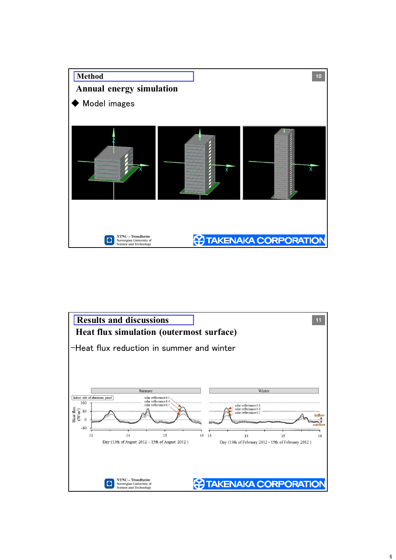

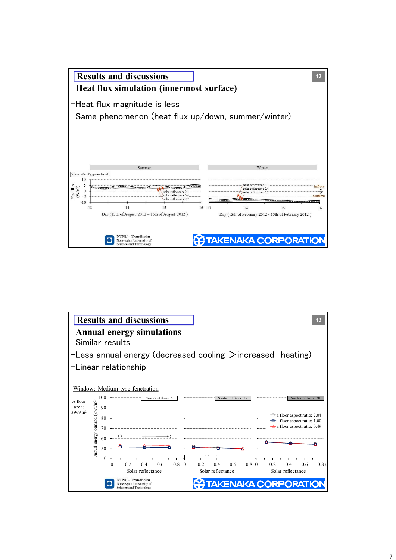

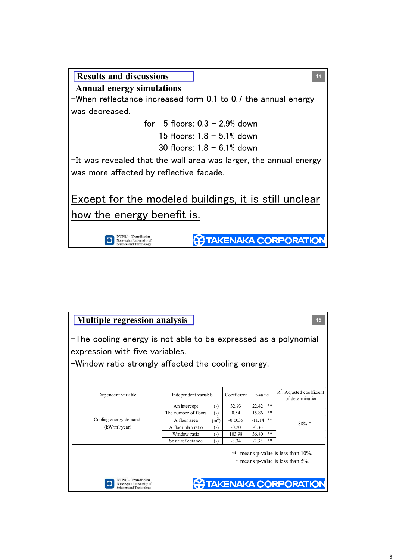

| <b>Multiple regression analysis</b><br>-The cooling energy is not able to be expressed as a polynomial<br>expression with five variables.<br>-Window ratio strongly affected the cooling energy. |                                          |             |                |                                                                                                        |  |  |  |  |  |
|--------------------------------------------------------------------------------------------------------------------------------------------------------------------------------------------------|------------------------------------------|-------------|----------------|--------------------------------------------------------------------------------------------------------|--|--|--|--|--|
| Dependent variable                                                                                                                                                                               | Independent variable                     | Coefficient | t-value        | $R^2$ : Adjusted coefficient<br>of determination                                                       |  |  |  |  |  |
|                                                                                                                                                                                                  | An intercept<br>$(-)$                    | 32.93       | **<br>22.42    |                                                                                                        |  |  |  |  |  |
|                                                                                                                                                                                                  | The number of floors<br>$(-)$            | 0.54        | **<br>15.86    |                                                                                                        |  |  |  |  |  |
| Cooling energy demand                                                                                                                                                                            | $(m^2)$<br>A floor area                  | $-0.0035$   | **<br>$-11.14$ | $88\%$ *                                                                                               |  |  |  |  |  |
| $(kW/m^2$ /year)                                                                                                                                                                                 | A floor plan ratio<br>$(\textnormal{-})$ | $-0.20$     | $-0.36$        |                                                                                                        |  |  |  |  |  |
|                                                                                                                                                                                                  | Window ratio<br>$(-)$                    | 103.98      | **<br>36.80    |                                                                                                        |  |  |  |  |  |
|                                                                                                                                                                                                  | Solar reflectance<br>$(-)$               | $-3.34$     | **<br>$-2.33$  |                                                                                                        |  |  |  |  |  |
| NTNU – Trondheim<br>Norwegian University of                                                                                                                                                      |                                          |             |                | means p-value is less than $10\%$ .<br>* means p-value is less than 5%.<br><b>TAKENAKA CORPORATION</b> |  |  |  |  |  |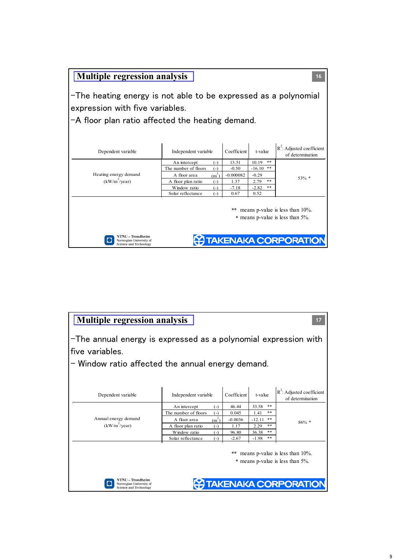| <b>Multiple regression analysis</b><br>16                                                                                                            |                                                     |                 |                       |                                                  |  |  |  |  |  |
|------------------------------------------------------------------------------------------------------------------------------------------------------|-----------------------------------------------------|-----------------|-----------------------|--------------------------------------------------|--|--|--|--|--|
| -The heating energy is not able to be expressed as a polynomial<br>expression with five variables.                                                   |                                                     |                 |                       |                                                  |  |  |  |  |  |
| $-A$ floor plan ratio affected the heating demand.                                                                                                   |                                                     |                 |                       |                                                  |  |  |  |  |  |
| Dependent variable                                                                                                                                   | Independent variable                                | Coefficient     | t-value               | $R^2$ : Adjusted coefficient<br>of determination |  |  |  |  |  |
|                                                                                                                                                      | An intercept<br>$(-)$                               | 13.51           | **<br>10.19           |                                                  |  |  |  |  |  |
|                                                                                                                                                      | The number of floors<br>$(-)$                       | $-0.50$         | **<br>$-16.10$        |                                                  |  |  |  |  |  |
| Heating energy demand                                                                                                                                | (m <sup>2</sup> )<br>A floor area                   | $-0.000082$     | $-0.29$               | 53% *                                            |  |  |  |  |  |
| $(kW/m^2/year)$                                                                                                                                      | A floor plan ratio<br>$(-)$                         | 1.37            | **<br>2.79            |                                                  |  |  |  |  |  |
|                                                                                                                                                      | Window ratio<br>$(-)$<br>Solar reflectance<br>$(-)$ | $-7.18$<br>0.67 | **<br>$-2.82$<br>0.52 |                                                  |  |  |  |  |  |
| means p-value is less than $10\%$ .<br>* means p-value is less than 5%.<br>NTNI – Trondheim<br><b>AKENAKA CORPORATION</b><br>Norwegian University of |                                                     |                 |                       |                                                  |  |  |  |  |  |

| <b>Multiple regression analysis</b><br>17                                                                                               |                               |             |                   |                                                  |  |  |  |  |  |
|-----------------------------------------------------------------------------------------------------------------------------------------|-------------------------------|-------------|-------------------|--------------------------------------------------|--|--|--|--|--|
| -The annual energy is expressed as a polynomial expression with<br>five variables.<br>- Window ratio affected the annual energy demand. |                               |             |                   |                                                  |  |  |  |  |  |
|                                                                                                                                         |                               |             |                   |                                                  |  |  |  |  |  |
| Dependent variable                                                                                                                      | Independent variable          | Coefficient | t-value           | $R^2$ : Adjusted coefficient<br>of determination |  |  |  |  |  |
|                                                                                                                                         | An intercept<br>$(-)$         | 46.44       | **<br>33.58       |                                                  |  |  |  |  |  |
|                                                                                                                                         | The number of floors<br>$(-)$ | 0.045       | **<br>1.41        |                                                  |  |  |  |  |  |
| Annual energy demand                                                                                                                    | $(m^2)$<br>A floor area       | $-0.0036$   | **<br>-12.11      | $86\% *$                                         |  |  |  |  |  |
| $(kW/m^2$ /year)                                                                                                                        | A floor plan ratio<br>$(-)$   | 1.17        | **<br>2.29        |                                                  |  |  |  |  |  |
|                                                                                                                                         | Window ratio<br>$(-)$         | 96.80       | **<br>36.38<br>** |                                                  |  |  |  |  |  |
| Solar reflectance<br>$-2.67$<br>$-1.98$<br>$(-)$<br>means p-value is less than $10\%$ .<br>**<br>* means p-value is less than 5%.       |                               |             |                   |                                                  |  |  |  |  |  |
| NU – Trondheim<br><b>TAKENAKA CORPORATION</b><br>Norwegian University of<br><b>Science and Technology</b>                               |                               |             |                   |                                                  |  |  |  |  |  |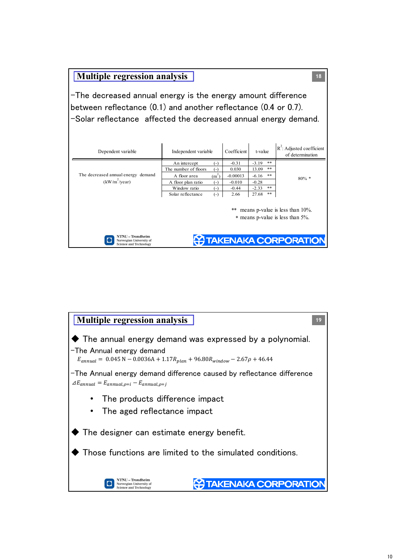## **Multiple regression analysis**

 $-$ The decreased annual energy is the energy amount difference between reflectance  $(0.1)$  and another reflectance  $(0.4$  or 0.7). -Solar reflectance affected the decreased annual energy demand.

**18**

| Dependent variable                                                           | Independent variable | Coefficient |            | t-value | $R^2$ : Adjusted coefficient<br>of determination                       |
|------------------------------------------------------------------------------|----------------------|-------------|------------|---------|------------------------------------------------------------------------|
|                                                                              | An intercept         | $(-)$       | $-0.31$    | $-3.19$ | **                                                                     |
|                                                                              | The number of floors | $(-)$       | 0.030      | 13.09   | **                                                                     |
| The decreased annual energy demand                                           | A floor area         | $(m^2)$     | $-0.00013$ | $-6.16$ | **<br>$80\% *$                                                         |
| $(kW/m^2$ /year)                                                             | A floor plan ratio   | $(-)$       | $-0.010$   | $-0.28$ |                                                                        |
|                                                                              | Window ratio         | $(-)$       | $-0.44$    | $-2.33$ | **                                                                     |
|                                                                              | Solar reflectance    | $(-)$       | 2.66       | 27.68   | **                                                                     |
|                                                                              |                      |             |            |         | ** means p-value is less than 10%.<br>* means p-value is less than 5%. |
| NTNU – Trondheim<br>Norwegian University of<br><b>Science and Technology</b> |                      |             |            |         | <b>HA TAKENAKA CORPORATION</b>                                         |

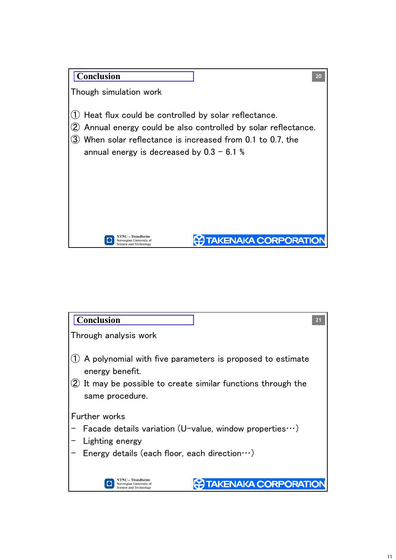